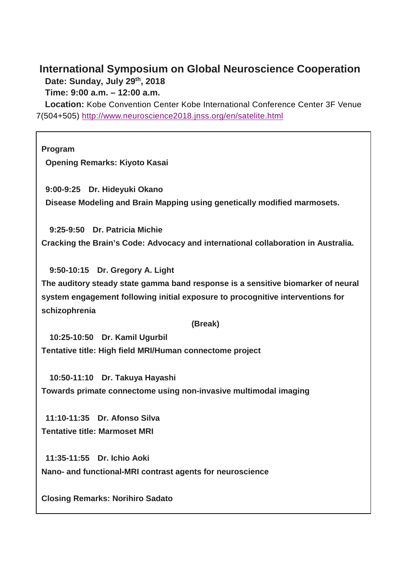# **International Symposium on Global Neuroscience Cooperation Date: Sunday, July 29th, 2018**

**Time: 9:00 a.m. – 12:00 a.m.**

**Location:** Kobe Convention Center Kobe International Conference Center 3F Venue 7(504+505) <http://www.neuroscience2018.jnss.org/en/satelite.html>

**Program Opening Remarks: Kiyoto Kasai 9:00-9:25 Dr. Hideyuki Okano**

**Disease Modeling and Brain Mapping using genetically modified marmosets.**

**9:25-9:50 Dr. Patricia Michie Cracking the Brain's Code: Advocacy and international collaboration in Australia.**

**9:50-10:15 Dr. Gregory A. Light**

**The auditory steady state gamma band response is a sensitive biomarker of neural system engagement following initial exposure to procognitive interventions for schizophrenia**

**(Break)**

**10:25-10:50 Dr. Kamil Ugurbil Tentative title: High field MRI/Human connectome project**

**10:50-11:10 Dr. Takuya Hayashi Towards primate connectome using non-invasive multimodal imaging**

**11:10-11:35 Dr. Afonso Silva Tentative title: Marmoset MRI**

**11:35-11:55 Dr. Ichio Aoki Nano- and functional-MRI contrast agents for neuroscience**

**Closing Remarks: Norihiro Sadato**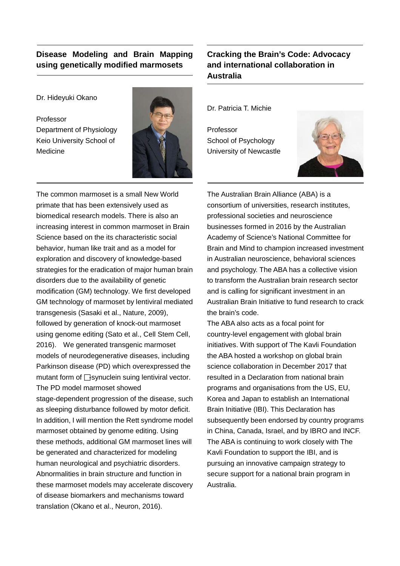#### **Disease Modeling and Brain Mapping using genetically modified marmosets**

Dr. Hideyuki Okano

Professor Department of Physiology Keio University School of Medicine



The common marmoset is a small New World primate that has been extensively used as biomedical research models. There is also an increasing interest in common marmoset in Brain Science based on the its characteristic social behavior, human like trait and as a model for exploration and discovery of knowledge-based strategies for the eradication of major human brain disorders due to the availability of genetic modification (GM) technology. We first developed GM technology of marmoset by lentiviral mediated transgenesis (Sasaki et al., Nature, 2009), followed by generation of knock-out marmoset using genome editing (Sato et al., Cell Stem Cell, 2016). We generated transgenic marmoset models of neurodegenerative diseases, including Parkinson disease (PD) which overexpressed the mutant form of  $\Box$ synuclein suing lentiviral vector. The PD model marmoset showed stage-dependent progression of the disease, such as sleeping disturbance followed by motor deficit. In addition, I will mention the Rett syndrome model marmoset obtained by genome editing. Using these methods, additional GM marmoset lines will be generated and characterized for modeling human neurological and psychiatric disorders. Abnormalities in brain structure and function in these marmoset models may accelerate discovery of disease biomarkers and mechanisms toward translation (Okano et al., Neuron, 2016).

### **Cracking the Brain's Code: Advocacy and international collaboration in Australia**

Dr. Patricia T. Michie

Professor School of Psychology University of Newcastle



The Australian Brain Alliance (ABA) is a consortium of universities, research institutes, professional societies and neuroscience businesses formed in 2016 by the Australian Academy of Science's National Committee for Brain and Mind to champion increased investment in Australian neuroscience, behavioral sciences and psychology. The ABA has a collective vision to transform the Australian brain research sector and is calling for significant investment in an Australian Brain Initiative to fund research to crack the brain's code.

The ABA also acts as a focal point for country-level engagement with global brain initiatives. With support of The Kavli Foundation the ABA hosted a workshop on global brain science collaboration in December 2017 that resulted in a Declaration from national brain programs and organisations from the US, EU, Korea and Japan to establish an International Brain Initiative (IBI). This Declaration has subsequently been endorsed by country programs in China, Canada, Israel, and by IBRO and INCF. The ABA is continuing to work closely with The Kavli Foundation to support the IBI, and is pursuing an innovative campaign strategy to secure support for a national brain program in Australia.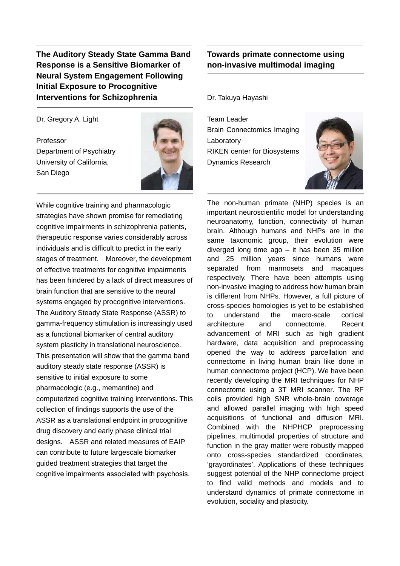**The Auditory Steady State Gamma Band Response is a Sensitive Biomarker of Neural System Engagement Following Initial Exposure to Procognitive Interventions for Schizophrenia**

Dr. Gregory A. Light

Professor Department of Psychiatry University of California, San Diego



While cognitive training and pharmacologic strategies have shown promise for remediating cognitive impairments in schizophrenia patients, therapeutic response varies considerably across individuals and is difficult to predict in the early stages of treatment. Moreover, the development of effective treatments for cognitive impairments has been hindered by a lack of direct measures of brain function that are sensitive to the neural systems engaged by procognitive interventions. The Auditory Steady State Response (ASSR) to gamma-frequency stimulation is increasingly used as a functional biomarker of central auditory system plasticity in translational neuroscience. This presentation will show that the gamma band auditory steady state response (ASSR) is sensitive to initial exposure to some pharmacologic (e.g., memantine) and computerized cognitive training interventions. This collection of findings supports the use of the ASSR as a translational endpoint in procognitive drug discovery and early phase clinical trial designs. ASSR and related measures of EAIP can contribute to future largescale biomarker guided treatment strategies that target the cognitive impairments associated with psychosis. 

#### **Towards primate connectome using non-invasive multimodal imaging**

Dr. Takuya Hayashi

Team Leader Brain Connectomics Imaging Laboratory RIKEN center for Biosystems Dynamics Research



The non-human primate (NHP) species is an important neuroscientific model for understanding neuroanatomy, function, connectivity of human brain. Although humans and NHPs are in the same taxonomic group, their evolution were diverged long time ago – it has been 35 million and 25 million years since humans were separated from marmosets and macaques respectively. There have been attempts using non-invasive imaging to address how human brain is different from NHPs. However, a full picture of cross-species homologies is yet to be established to understand the macro-scale cortical architecture and connectome. Recent advancement of MRI such as high gradient hardware, data acquisition and preprocessing opened the way to address parcellation and connectome in living human brain like done in human connectome project (HCP). We have been recently developing the MRI techniques for NHP connectome using a 3T MRI scanner. The RF coils provided high SNR whole-brain coverage and allowed parallel imaging with high speed acquisitions of functional and diffusion MRI. Combined with the NHPHCP preprocessing pipelines, multimodal properties of structure and function in the gray matter were robustly mapped onto cross-species standardized coordinates, 'grayordinates'. Applications of these techniques suggest potential of the NHP connectome project to find valid methods and models and to understand dynamics of primate connectome in evolution, sociality and plasticity.